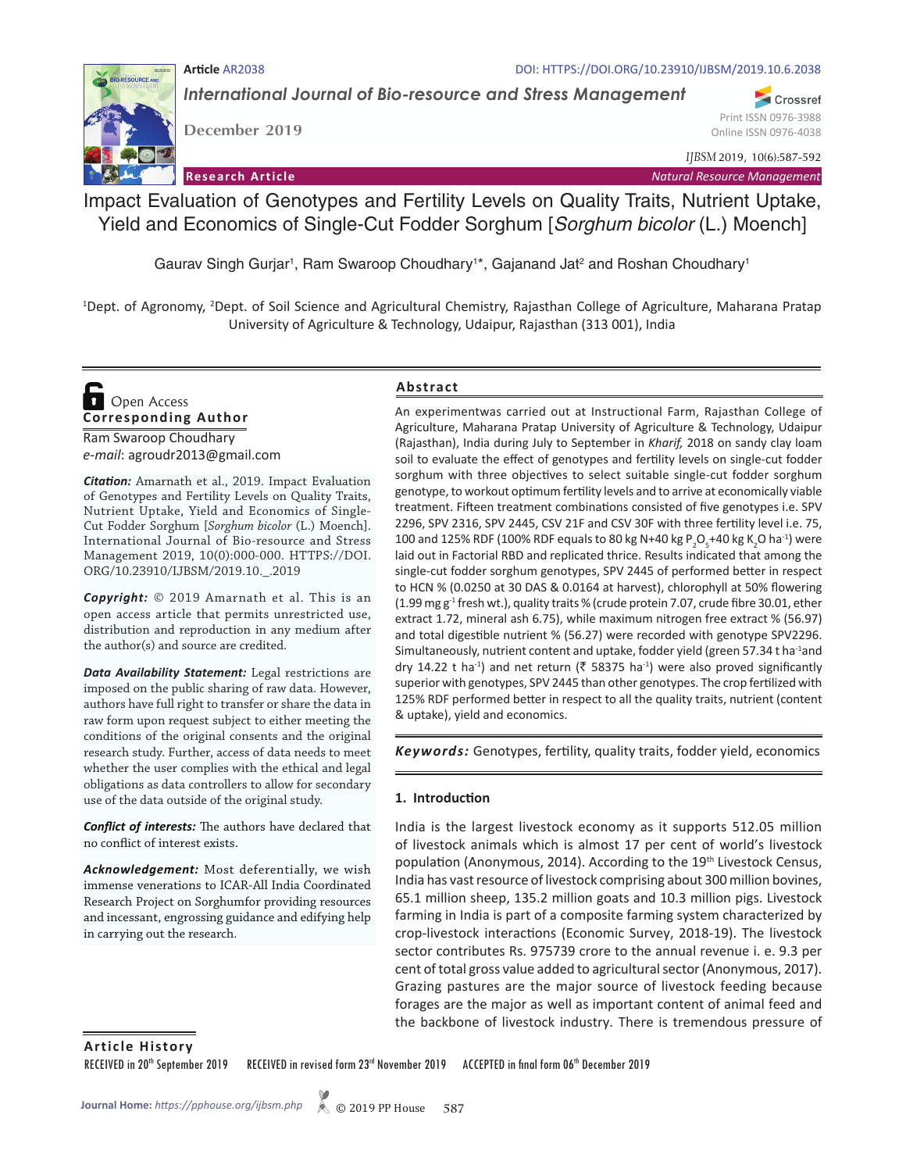### **Article** AR2038 DOI: HTTPS://DOI.ORG/10.23910/IJBSM/2019.10.6.2038

*International Journal of Bio-resource and Stress Management*

**RESOURCE AND** 

**December 2019**

Online ISSN 0976-4038 *IJBSM* 2019, 10(6):587-592

Print ISSN 0976-3988

Crossref

**Research Article** *Natural Resource Management*

Impact Evaluation of Genotypes and Fertility Levels on Quality Traits, Nutrient Uptake, Yield and Economics of Single-Cut Fodder Sorghum [*Sorghum bicolor* (L.) Moench]

Gaurav Singh Gurjar<sup>1</sup>, Ram Swaroop Choudhary<sup>1\*</sup>, Gajanand Jat<sup>2</sup> and Roshan Choudhary<sup>1</sup>

<sup>1</sup>Dept. of Agronomy, <sup>2</sup>Dept. of Soil Science and Agricultural Chemistry, Rajasthan College of Agriculture, Maharana Pratap University of Agriculture & Technology, Udaipur, Rajasthan (313 001), India

**Corresponding Author**  Open Access

Ram Swaroop Choudhary *e-mail*: agroudr2013@gmail.com

*Citation:* Amarnath et al., 2019. Impact Evaluation of Genotypes and Fertility Levels on Quality Traits, Nutrient Uptake, Yield and Economics of Single-Cut Fodder Sorghum [*Sorghum bicolor* (L.) Moench]. International Journal of Bio-resource and Stress Management 2019, 10(0):000-000. HTTPS://DOI. ORG/10.23910/IJBSM/2019.10.\_.2019

*Copyright:* © 2019 Amarnath et al. This is an open access article that permits unrestricted use, distribution and reproduction in any medium after the author(s) and source are credited.

*Data Availability Statement:* Legal restrictions are imposed on the public sharing of raw data. However, authors have full right to transfer or share the data in raw form upon request subject to either meeting the conditions of the original consents and the original research study. Further, access of data needs to meet whether the user complies with the ethical and legal obligations as data controllers to allow for secondary use of the data outside of the original study.

*Conflict of interests:* The authors have declared that no conflict of interest exists.

*Acknowledgement:* Most deferentially, we wish immense venerations to ICAR-All India Coordinated Research Project on Sorghumfor providing resources and incessant, engrossing guidance and edifying help in carrying out the research.

### **Abstract**

An experimentwas carried out at Instructional Farm, Rajasthan College of Agriculture, Maharana Pratap University of Agriculture & Technology, Udaipur (Rajasthan), India during July to September in *Kharif,* 2018 on sandy clay loam soil to evaluate the effect of genotypes and fertility levels on single-cut fodder sorghum with three objectives to select suitable single-cut fodder sorghum genotype, to workout optimum fertility levels and to arrive at economically viable treatment. Fifteen treatment combinations consisted of five genotypes i.e. SPV 2296, SPV 2316, SPV 2445, CSV 21F and CSV 30F with three fertility level i.e. 75, 100 and 125% RDF (100% RDF equals to 80 kg N+40 kg P<sub>2</sub>O<sub>5</sub>+40 kg K<sub>2</sub>O ha<sup>-1</sup>) were laid out in Factorial RBD and replicated thrice. Results indicated that among the single-cut fodder sorghum genotypes, SPV 2445 of performed better in respect to HCN % (0.0250 at 30 DAS & 0.0164 at harvest), chlorophyll at 50% flowering (1.99 mg  $g<sup>-1</sup>$  fresh wt.), quality traits % (crude protein 7.07, crude fibre 30.01, ether extract 1.72, mineral ash 6.75), while maximum nitrogen free extract % (56.97) and total digestible nutrient % (56.27) were recorded with genotype SPV2296. Simultaneously, nutrient content and uptake, fodder yield (green 57.34 t ha<sup>-1</sup>and dry 14.22 t ha<sup>-1</sup>) and net return (₹ 58375 ha<sup>-1</sup>) were also proved significantly superior with genotypes, SPV 2445 than other genotypes. The crop fertilized with 125% RDF performed better in respect to all the quality traits, nutrient (content & uptake), yield and economics.

*Keywords:* Genotypes, fertility, quality traits, fodder yield, economics

### **1. Introduction**

India is the largest livestock economy as it supports 512.05 million of livestock animals which is almost 17 per cent of world's livestock population (Anonymous, 2014). According to the 19<sup>th</sup> Livestock Census, India has vast resource of livestock comprising about 300 million bovines, 65.1 million sheep, 135.2 million goats and 10.3 million pigs. Livestock farming in India is part of a composite farming system characterized by crop-livestock interactions (Economic Survey, 2018-19). The livestock sector contributes Rs. 975739 crore to the annual revenue i. e. 9.3 per cent of total gross value added to agricultural sector (Anonymous, 2017). Grazing pastures are the major source of livestock feeding because forages are the major as well as important content of animal feed and the backbone of livestock industry. There is tremendous pressure of

**Article History**

RECEIVED in 20<sup>th</sup> September 2019 RECEIVED in revised form 23<sup>rd</sup> November 2019 ACCEPTED in final form 06<sup>th</sup> December 2019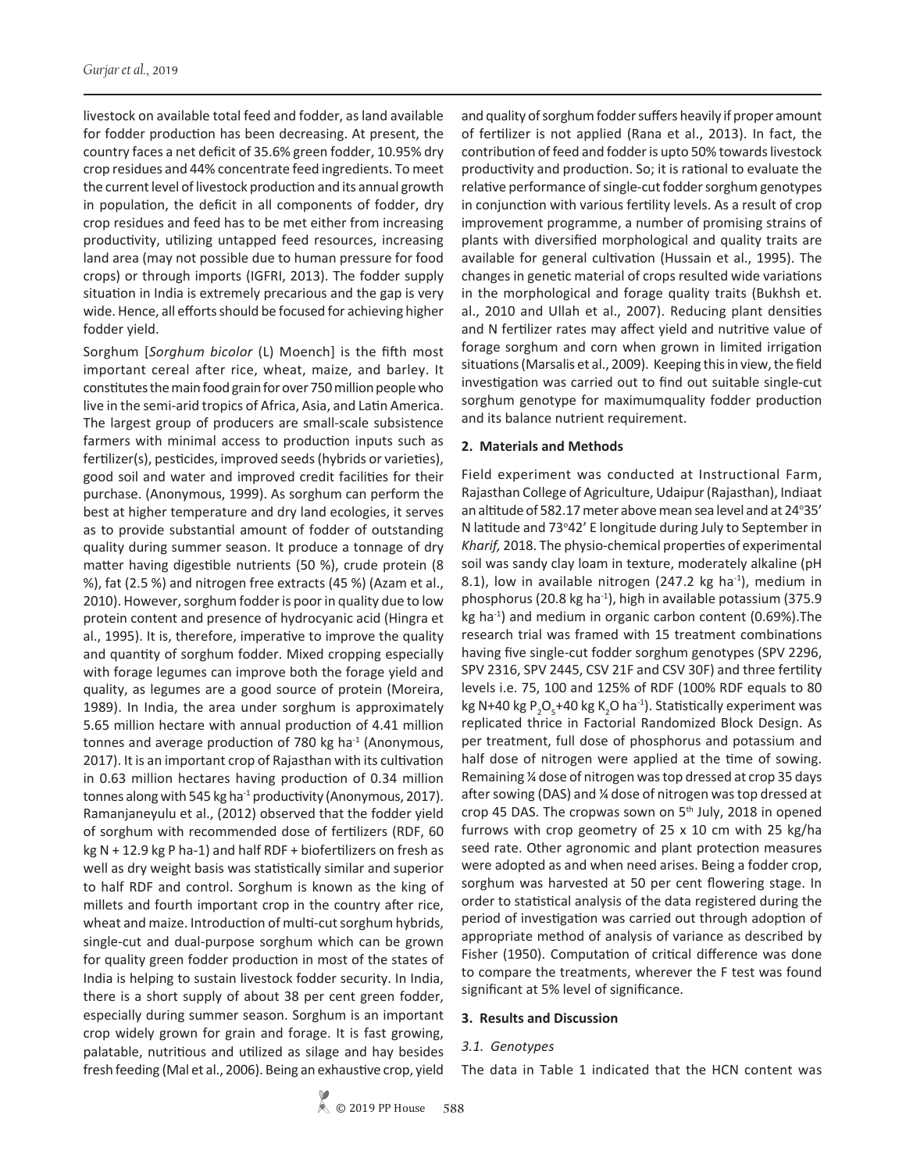livestock on available total feed and fodder, as land available for fodder production has been decreasing. At present, the country faces a net deficit of 35.6% green fodder, 10.95% dry crop residues and 44% concentrate feed ingredients. To meet the current level of livestock production and its annual growth in population, the deficit in all components of fodder, dry crop residues and feed has to be met either from increasing productivity, utilizing untapped feed resources, increasing land area (may not possible due to human pressure for food crops) or through imports (IGFRI, 2013). The fodder supply situation in India is extremely precarious and the gap is very wide. Hence, all efforts should be focused for achieving higher fodder yield.

Sorghum [*Sorghum bicolor* (L) Moench] is the fifth most important cereal after rice, wheat, maize, and barley. It constitutes the main food grain for over 750 million people who live in the semi-arid tropics of Africa, Asia, and Latin America. The largest group of producers are small-scale subsistence farmers with minimal access to production inputs such as fertilizer(s), pesticides, improved seeds (hybrids or varieties), good soil and water and improved credit facilities for their purchase. (Anonymous, 1999). As sorghum can perform the best at higher temperature and dry land ecologies, it serves as to provide substantial amount of fodder of outstanding quality during summer season. It produce a tonnage of dry matter having digestible nutrients (50 %), crude protein (8 %), fat (2.5 %) and nitrogen free extracts (45 %) (Azam et al., 2010). However, sorghum fodder is poor in quality due to low protein content and presence of hydrocyanic acid (Hingra et al., 1995). It is, therefore, imperative to improve the quality and quantity of sorghum fodder. Mixed cropping especially with forage legumes can improve both the forage yield and quality, as legumes are a good source of protein (Moreira, 1989). In India, the area under sorghum is approximately 5.65 million hectare with annual production of 4.41 million tonnes and average production of 780 kg ha<sup>-1</sup> (Anonymous, 2017). It is an important crop of Rajasthan with its cultivation in 0.63 million hectares having production of 0.34 million tonnes along with 545 kg ha<sup>-1</sup> productivity (Anonymous, 2017). Ramanjaneyulu et al., (2012) observed that the fodder yield of sorghum with recommended dose of fertilizers (RDF, 60 kg N + 12.9 kg P ha-1) and half RDF + biofertilizers on fresh as well as dry weight basis was statistically similar and superior to half RDF and control. Sorghum is known as the king of millets and fourth important crop in the country after rice, wheat and maize. Introduction of multi-cut sorghum hybrids, single-cut and dual-purpose sorghum which can be grown for quality green fodder production in most of the states of India is helping to sustain livestock fodder security. In India, there is a short supply of about 38 per cent green fodder, especially during summer season. Sorghum is an important crop widely grown for grain and forage. It is fast growing, palatable, nutritious and utilized as silage and hay besides fresh feeding (Mal et al., 2006). Being an exhaustive crop, yield

and quality of sorghum fodder suffers heavily if proper amount of fertilizer is not applied (Rana et al., 2013). In fact, the contribution of feed and fodder is upto 50% towards livestock productivity and production. So; it is rational to evaluate the relative performance of single-cut fodder sorghum genotypes in conjunction with various fertility levels. As a result of crop improvement programme, a number of promising strains of plants with diversified morphological and quality traits are available for general cultivation (Hussain et al., 1995). The changes in genetic material of crops resulted wide variations in the morphological and forage quality traits (Bukhsh et. al., 2010 and Ullah et al., 2007). Reducing plant densities and N fertilizer rates may affect yield and nutritive value of forage sorghum and corn when grown in limited irrigation situations (Marsalis et al., 2009). Keeping this in view, the field investigation was carried out to find out suitable single-cut sorghum genotype for maximumquality fodder production and its balance nutrient requirement.

#### **2. Materials and Methods**

Field experiment was conducted at Instructional Farm, Rajasthan College of Agriculture, Udaipur (Rajasthan), Indiaat an altitude of 582.17 meter above mean sea level and at 24°35' N latitude and 73°42' E longitude during July to September in *Kharif,* 2018. The physio-chemical properties of experimental soil was sandy clay loam in texture, moderately alkaline (pH 8.1), low in available nitrogen (247.2 kg ha<sup>-1</sup>), medium in phosphorus (20.8 kg ha<sup>-1</sup>), high in available potassium (375.9 kg ha<sup>-1</sup>) and medium in organic carbon content (0.69%). The research trial was framed with 15 treatment combinations having five single-cut fodder sorghum genotypes (SPV 2296, SPV 2316, SPV 2445, CSV 21F and CSV 30F) and three fertility levels i.e. 75, 100 and 125% of RDF (100% RDF equals to 80 kg N+40 kg P<sub>2</sub>O<sub>5</sub>+40 kg K<sub>2</sub>O ha<sup>-1</sup>). Statistically experiment was replicated thrice in Factorial Randomized Block Design. As per treatment, full dose of phosphorus and potassium and half dose of nitrogen were applied at the time of sowing. Remaining ¼ dose of nitrogen was top dressed at crop 35 days after sowing (DAS) and ¼ dose of nitrogen was top dressed at crop 45 DAS. The cropwas sown on 5<sup>th</sup> July, 2018 in opened furrows with crop geometry of 25 x 10 cm with 25 kg/ha seed rate. Other agronomic and plant protection measures were adopted as and when need arises. Being a fodder crop, sorghum was harvested at 50 per cent flowering stage. In order to statistical analysis of the data registered during the period of investigation was carried out through adoption of appropriate method of analysis of variance as described by Fisher (1950). Computation of critical difference was done to compare the treatments, wherever the F test was found significant at 5% level of significance.

#### **3. Results and Discussion**

#### *3.1. Genotypes*

The data in Table 1 indicated that the HCN content was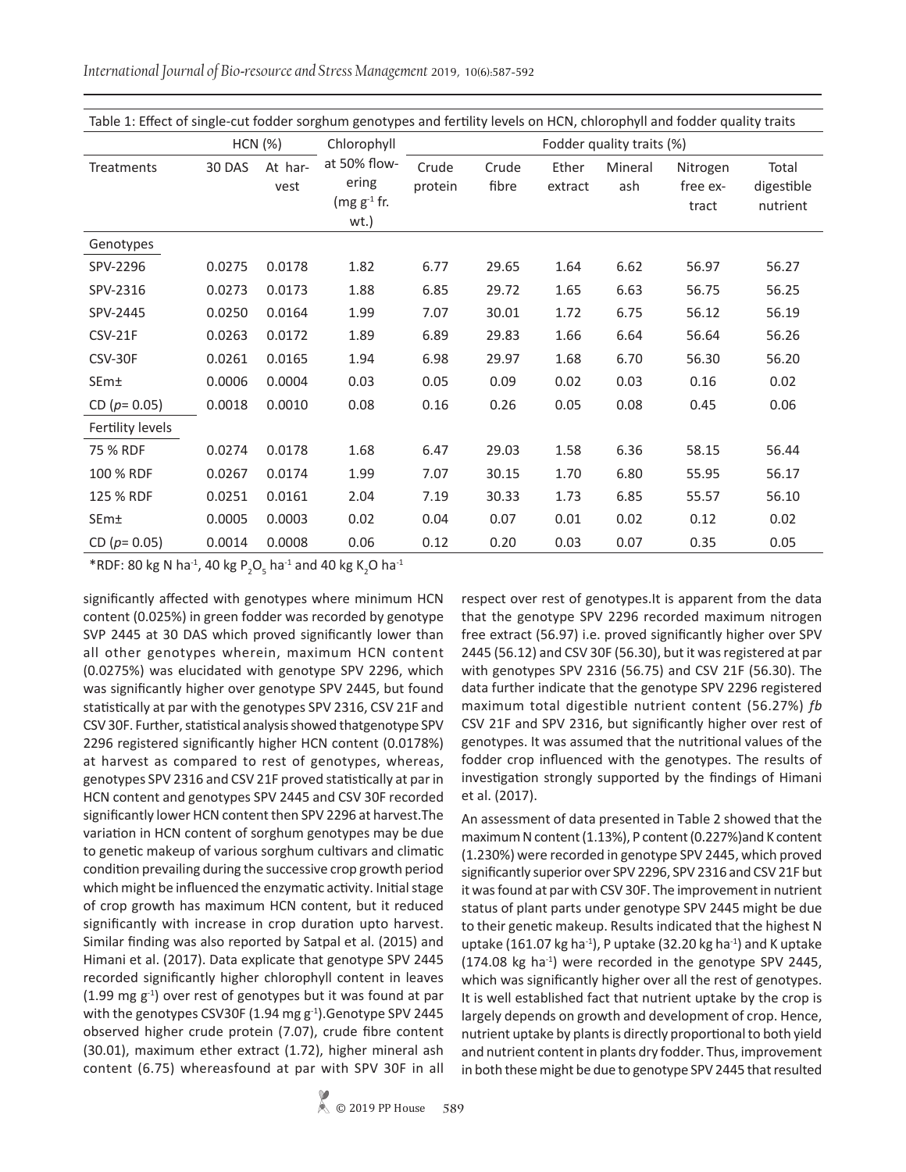*International Journal of Bio-resource and Stress Management* 2019, 10(6):587-592

| Table 1: Effect of single-cut fodder sorghum genotypes and fertility levels on HCN, chlorophyll and fodder quality traits |        |                 |                                                |                           |                |                  |                |                               |                                 |
|---------------------------------------------------------------------------------------------------------------------------|--------|-----------------|------------------------------------------------|---------------------------|----------------|------------------|----------------|-------------------------------|---------------------------------|
|                                                                                                                           |        | <b>HCN (%)</b>  | Chlorophyll                                    | Fodder quality traits (%) |                |                  |                |                               |                                 |
| Treatments                                                                                                                | 30 DAS | At har-<br>vest | at 50% flow-<br>ering<br>$(mg g-1 fr.$<br>wt.) | Crude<br>protein          | Crude<br>fibre | Ether<br>extract | Mineral<br>ash | Nitrogen<br>free ex-<br>tract | Total<br>digestible<br>nutrient |
| Genotypes                                                                                                                 |        |                 |                                                |                           |                |                  |                |                               |                                 |
| SPV-2296                                                                                                                  | 0.0275 | 0.0178          | 1.82                                           | 6.77                      | 29.65          | 1.64             | 6.62           | 56.97                         | 56.27                           |
| SPV-2316                                                                                                                  | 0.0273 | 0.0173          | 1.88                                           | 6.85                      | 29.72          | 1.65             | 6.63           | 56.75                         | 56.25                           |
| SPV-2445                                                                                                                  | 0.0250 | 0.0164          | 1.99                                           | 7.07                      | 30.01          | 1.72             | 6.75           | 56.12                         | 56.19                           |
| CSV-21F                                                                                                                   | 0.0263 | 0.0172          | 1.89                                           | 6.89                      | 29.83          | 1.66             | 6.64           | 56.64                         | 56.26                           |
| CSV-30F                                                                                                                   | 0.0261 | 0.0165          | 1.94                                           | 6.98                      | 29.97          | 1.68             | 6.70           | 56.30                         | 56.20                           |
| SEm±                                                                                                                      | 0.0006 | 0.0004          | 0.03                                           | 0.05                      | 0.09           | 0.02             | 0.03           | 0.16                          | 0.02                            |
| CD ( $p = 0.05$ )                                                                                                         | 0.0018 | 0.0010          | 0.08                                           | 0.16                      | 0.26           | 0.05             | 0.08           | 0.45                          | 0.06                            |
| Fertility levels                                                                                                          |        |                 |                                                |                           |                |                  |                |                               |                                 |
| 75 % RDF                                                                                                                  | 0.0274 | 0.0178          | 1.68                                           | 6.47                      | 29.03          | 1.58             | 6.36           | 58.15                         | 56.44                           |
| 100 % RDF                                                                                                                 | 0.0267 | 0.0174          | 1.99                                           | 7.07                      | 30.15          | 1.70             | 6.80           | 55.95                         | 56.17                           |
| 125 % RDF                                                                                                                 | 0.0251 | 0.0161          | 2.04                                           | 7.19                      | 30.33          | 1.73             | 6.85           | 55.57                         | 56.10                           |
| SEm±                                                                                                                      | 0.0005 | 0.0003          | 0.02                                           | 0.04                      | 0.07           | 0.01             | 0.02           | 0.12                          | 0.02                            |
| CD ( $p = 0.05$ )                                                                                                         | 0.0014 | 0.0008          | 0.06                                           | 0.12                      | 0.20           | 0.03             | 0.07           | 0.35                          | 0.05                            |

\*RDF: 80 kg N ha<sup>-1</sup>, 40 kg P<sub>2</sub>O<sub>5</sub> ha<sup>-1</sup> and 40 kg K<sub>2</sub>O ha<sup>-1</sup>

significantly affected with genotypes where minimum HCN content (0.025%) in green fodder was recorded by genotype SVP 2445 at 30 DAS which proved significantly lower than all other genotypes wherein, maximum HCN content (0.0275%) was elucidated with genotype SPV 2296, which was significantly higher over genotype SPV 2445, but found statistically at par with the genotypes SPV 2316, CSV 21F and CSV 30F. Further, statistical analysis showed thatgenotype SPV 2296 registered significantly higher HCN content (0.0178%) at harvest as compared to rest of genotypes, whereas, genotypes SPV 2316 and CSV 21F proved statistically at par in HCN content and genotypes SPV 2445 and CSV 30F recorded significantly lower HCN content then SPV 2296 at harvest.The variation in HCN content of sorghum genotypes may be due to genetic makeup of various sorghum cultivars and climatic condition prevailing during the successive crop growth period which might be influenced the enzymatic activity. Initial stage of crop growth has maximum HCN content, but it reduced significantly with increase in crop duration upto harvest. Similar finding was also reported by Satpal et al. (2015) and Himani et al. (2017). Data explicate that genotype SPV 2445 recorded significantly higher chlorophyll content in leaves  $(1.99 \text{ mg g}^{-1})$  over rest of genotypes but it was found at par with the genotypes CSV30F (1.94 mg  $g^{-1}$ ). Genotype SPV 2445 observed higher crude protein (7.07), crude fibre content (30.01), maximum ether extract (1.72), higher mineral ash content (6.75) whereasfound at par with SPV 30F in all

respect over rest of genotypes.It is apparent from the data that the genotype SPV 2296 recorded maximum nitrogen free extract (56.97) i.e. proved significantly higher over SPV 2445 (56.12) and CSV 30F (56.30), but it was registered at par with genotypes SPV 2316 (56.75) and CSV 21F (56.30). The data further indicate that the genotype SPV 2296 registered maximum total digestible nutrient content (56.27%) *fb*  CSV 21F and SPV 2316, but significantly higher over rest of genotypes. It was assumed that the nutritional values of the fodder crop influenced with the genotypes. The results of investigation strongly supported by the findings of Himani et al. (2017).

An assessment of data presented in Table 2 showed that the maximum N content (1.13%), P content (0.227%)and K content (1.230%) were recorded in genotype SPV 2445, which proved significantly superior over SPV 2296, SPV 2316 and CSV 21F but it was found at par with CSV 30F. The improvement in nutrient status of plant parts under genotype SPV 2445 might be due to their genetic makeup. Results indicated that the highest N uptake (161.07 kg ha<sup>-1</sup>), P uptake (32.20 kg ha<sup>-1</sup>) and K uptake (174.08 kg ha<sup>-1</sup>) were recorded in the genotype SPV 2445, which was significantly higher over all the rest of genotypes. It is well established fact that nutrient uptake by the crop is largely depends on growth and development of crop. Hence, nutrient uptake by plants is directly proportional to both yield and nutrient content in plants dry fodder. Thus, improvement in both these might be due to genotype SPV 2445 that resulted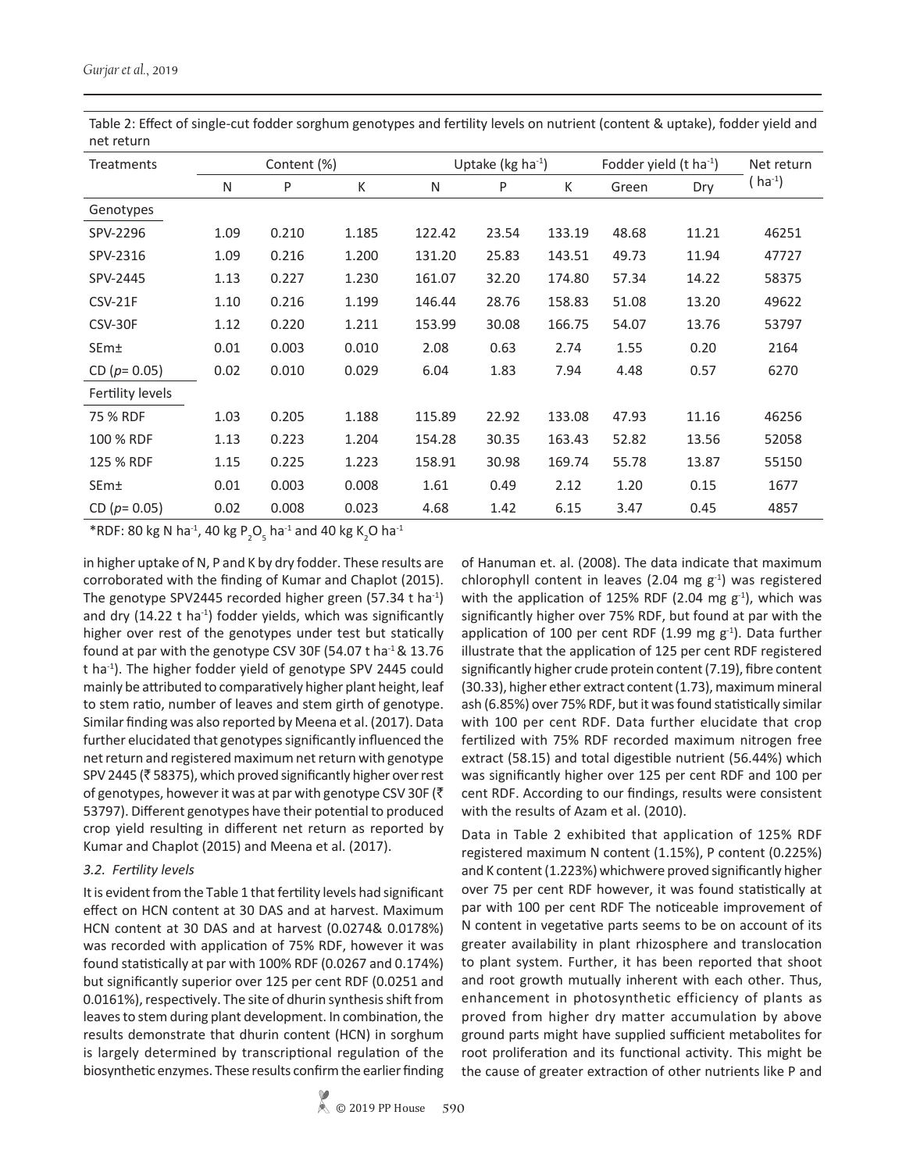It is evident from the Table 1 that fertility levels had significant effect on HCN content at 30 DAS and at harvest. Maximum

HCN content at 30 DAS and at harvest (0.0274& 0.0178%) was recorded with application of 75% RDF, however it was found statistically at par with 100% RDF (0.0267 and 0.174%) but significantly superior over 125 per cent RDF (0.0251 and 0.0161%), respectively. The site of dhurin synthesis shift from leaves to stem during plant development. In combination, the results demonstrate that dhurin content (HCN) in sorghum is largely determined by transcriptional regulation of the biosynthetic enzymes. These results confirm the earlier finding of Hanuman et. al. (2008). The data indicate that maximum chlorophyll content in leaves (2.04 mg  $g^{-1}$ ) was registered with the application of 125% RDF (2.04 mg  $g^{-1}$ ), which was significantly higher over 75% RDF, but found at par with the application of 100 per cent RDF (1.99 mg  $g^{-1}$ ). Data further illustrate that the application of 125 per cent RDF registered significantly higher crude protein content (7.19), fibre content (30.33), higher ether extract content (1.73), maximum mineral ash (6.85%) over 75% RDF, but it was found statistically similar with 100 per cent RDF. Data further elucidate that crop fertilized with 75% RDF recorded maximum nitrogen free extract (58.15) and total digestible nutrient (56.44%) which was significantly higher over 125 per cent RDF and 100 per cent RDF. According to our findings, results were consistent with the results of Azam et al. (2010).

Data in Table 2 exhibited that application of 125% RDF registered maximum N content (1.15%), P content (0.225%) and K content (1.223%) whichwere proved significantly higher over 75 per cent RDF however, it was found statistically at par with 100 per cent RDF The noticeable improvement of N content in vegetative parts seems to be on account of its greater availability in plant rhizosphere and translocation to plant system. Further, it has been reported that shoot and root growth mutually inherent with each other. Thus, enhancement in photosynthetic efficiency of plants as proved from higher dry matter accumulation by above ground parts might have supplied sufficient metabolites for root proliferation and its functional activity. This might be the cause of greater extraction of other nutrients like P and

| Treatments        | Content (%) |       |       | Uptake ( $kg$ ha <sup>-1</sup> ) |       |        | Fodder yield (t ha-1) |       | Net return           |
|-------------------|-------------|-------|-------|----------------------------------|-------|--------|-----------------------|-------|----------------------|
|                   | N           | P     | K     | N                                | P     | K      | Green                 | Dry   | ( ha <sup>-1</sup> ) |
| Genotypes         |             |       |       |                                  |       |        |                       |       |                      |
| SPV-2296          | 1.09        | 0.210 | 1.185 | 122.42                           | 23.54 | 133.19 | 48.68                 | 11.21 | 46251                |
| SPV-2316          | 1.09        | 0.216 | 1.200 | 131.20                           | 25.83 | 143.51 | 49.73                 | 11.94 | 47727                |
| SPV-2445          | 1.13        | 0.227 | 1.230 | 161.07                           | 32.20 | 174.80 | 57.34                 | 14.22 | 58375                |
| <b>CSV-21F</b>    | 1.10        | 0.216 | 1.199 | 146.44                           | 28.76 | 158.83 | 51.08                 | 13.20 | 49622                |
| CSV-30F           | 1.12        | 0.220 | 1.211 | 153.99                           | 30.08 | 166.75 | 54.07                 | 13.76 | 53797                |
| SEm±              | 0.01        | 0.003 | 0.010 | 2.08                             | 0.63  | 2.74   | 1.55                  | 0.20  | 2164                 |
| CD ( $p = 0.05$ ) | 0.02        | 0.010 | 0.029 | 6.04                             | 1.83  | 7.94   | 4.48                  | 0.57  | 6270                 |
| Fertility levels  |             |       |       |                                  |       |        |                       |       |                      |
| 75 % RDF          | 1.03        | 0.205 | 1.188 | 115.89                           | 22.92 | 133.08 | 47.93                 | 11.16 | 46256                |
| 100 % RDF         | 1.13        | 0.223 | 1.204 | 154.28                           | 30.35 | 163.43 | 52.82                 | 13.56 | 52058                |
| 125 % RDF         | 1.15        | 0.225 | 1.223 | 158.91                           | 30.98 | 169.74 | 55.78                 | 13.87 | 55150                |
| SEm±              | 0.01        | 0.003 | 0.008 | 1.61                             | 0.49  | 2.12   | 1.20                  | 0.15  | 1677                 |
| CD ( $p = 0.05$ ) | 0.02        | 0.008 | 0.023 | 4.68                             | 1.42  | 6.15   | 3.47                  | 0.45  | 4857                 |

Table 2: Effect of single-cut fodder sorghum genotypes and fertility levels on nutrient (content & uptake), fodder yield and net return

\*RDF: 80 kg N ha<sup>-1</sup>, 40 kg P<sub>2</sub>O<sub>5</sub> ha<sup>-1</sup> and 40 kg K<sub>2</sub>O ha<sup>-1</sup>

in higher uptake of N, P and K by dry fodder. These results are

corroborated with the finding of Kumar and Chaplot (2015). The genotype SPV2445 recorded higher green (57.34 t ha<sup>-1</sup>) and dry (14.22  $t$  ha<sup>-1</sup>) fodder yields, which was significantly higher over rest of the genotypes under test but statically found at par with the genotype CSV 30F (54.07 t ha<sup>-1</sup> & 13.76 t ha<sup>-1</sup>). The higher fodder yield of genotype SPV 2445 could mainly be attributed to comparatively higher plant height, leaf to stem ratio, number of leaves and stem girth of genotype. Similar finding was also reported by Meena et al. (2017). Data further elucidated that genotypes significantly influenced the net return and registered maximum net return with genotype SPV 2445 ( $\bar{\tau}$  58375), which proved significantly higher over rest of genotypes, however it was at par with genotype CSV 30F ( $\bar{\tau}$ 53797). Different genotypes have their potential to produced crop yield resulting in different net return as reported by Kumar and Chaplot (2015) and Meena et al. (2017).

# *3.2. Fertility levels*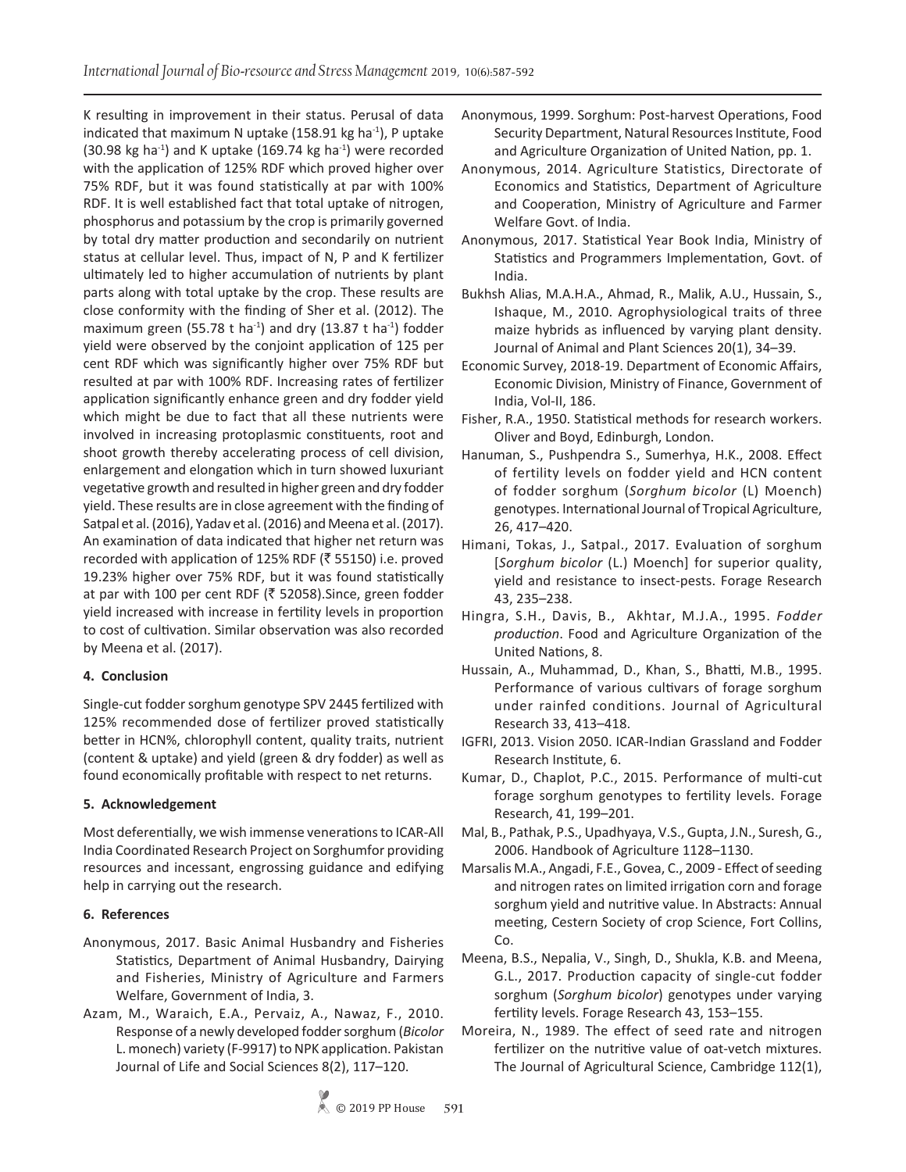K resulting in improvement in their status. Perusal of data indicated that maximum N uptake (158.91 kg ha $^{-1}$ ), P uptake (30.98 kg ha<sup>-1</sup>) and K uptake (169.74 kg ha<sup>-1</sup>) were recorded with the application of 125% RDF which proved higher over 75% RDF, but it was found statistically at par with 100% RDF. It is well established fact that total uptake of nitrogen, phosphorus and potassium by the crop is primarily governed by total dry matter production and secondarily on nutrient status at cellular level. Thus, impact of N, P and K fertilizer ultimately led to higher accumulation of nutrients by plant parts along with total uptake by the crop. These results are close conformity with the finding of Sher et al. (2012). The maximum green (55.78 t ha<sup>-1</sup>) and dry (13.87 t ha<sup>-1</sup>) fodder yield were observed by the conjoint application of 125 per cent RDF which was significantly higher over 75% RDF but resulted at par with 100% RDF. Increasing rates of fertilizer application significantly enhance green and dry fodder yield which might be due to fact that all these nutrients were involved in increasing protoplasmic constituents, root and shoot growth thereby accelerating process of cell division, enlargement and elongation which in turn showed luxuriant vegetative growth and resulted in higher green and dry fodder yield. These results are in close agreement with the finding of Satpal et al. (2016), Yadav et al. (2016) and Meena et al. (2017). An examination of data indicated that higher net return was recorded with application of 125% RDF ( $\bar{z}$  55150) i.e. proved 19.23% higher over 75% RDF, but it was found statistically at par with 100 per cent RDF ( $\bar{z}$  52058).Since, green fodder yield increased with increase in fertility levels in proportion to cost of cultivation. Similar observation was also recorded by Meena et al. (2017).

## **4. Conclusion**

Single-cut fodder sorghum genotype SPV 2445 fertilized with 125% recommended dose of fertilizer proved statistically better in HCN%, chlorophyll content, quality traits, nutrient (content & uptake) and yield (green & dry fodder) as well as found economically profitable with respect to net returns.

## **5. Acknowledgement**

Most deferentially, we wish immense venerations to ICAR-All India Coordinated Research Project on Sorghumfor providing resources and incessant, engrossing guidance and edifying help in carrying out the research.

## **6. References**

- Anonymous, 2017. Basic Animal Husbandry and Fisheries Statistics, Department of Animal Husbandry, Dairying and Fisheries, Ministry of Agriculture and Farmers Welfare, Government of India, 3.
- Azam, M., Waraich, E.A., Pervaiz, A., Nawaz, F., 2010. Response of a newly developed fodder sorghum (*Bicolor* L. monech) variety (F-9917) to NPK application. Pakistan Journal of Life and Social Sciences 8(2), 117–120.
- Anonymous, 1999. Sorghum: Post-harvest Operations, Food Security Department, Natural Resources Institute, Food and Agriculture Organization of United Nation, pp. 1.
- Anonymous, 2014. Agriculture Statistics, Directorate of Economics and Statistics, Department of Agriculture and Cooperation, Ministry of Agriculture and Farmer Welfare Govt. of India.
- Anonymous, 2017. Statistical Year Book India, Ministry of Statistics and Programmers Implementation, Govt. of India.
- Bukhsh Alias, M.A.H.A., Ahmad, R., Malik, A.U., Hussain, S., Ishaque, M., 2010. Agrophysiological traits of three maize hybrids as influenced by varying plant density. Journal of Animal and Plant Sciences 20(1), 34–39.
- Economic Survey, 2018-19. Department of Economic Affairs, Economic Division, Ministry of Finance, Government of India, Vol-II, 186.
- Fisher, R.A., 1950. Statistical methods for research workers. Oliver and Boyd, Edinburgh, London.
- Hanuman, S., Pushpendra S., Sumerhya, H.K., 2008. Effect of fertility levels on fodder yield and HCN content of fodder sorghum (*Sorghum bicolor* (L) Moench) genotypes. International Journal of Tropical Agriculture, 26, 417–420.
- Himani, Tokas, J., Satpal., 2017. Evaluation of sorghum [*Sorghum bicolor* (L.) Moench] for superior quality, yield and resistance to insect-pests. Forage Research 43, 235–238.
- Hingra, S.H., Davis, B., Akhtar, M.J.A., 1995. *Fodder production*. Food and Agriculture Organization of the United Nations, 8.
- Hussain, A., Muhammad, D., Khan, S., Bhatti, M.B., 1995. Performance of various cultivars of forage sorghum under rainfed conditions. Journal of Agricultural Research 33, 413–418.
- IGFRI, 2013. Vision 2050. ICAR-Indian Grassland and Fodder Research Institute, 6.
- Kumar, D., Chaplot, P.C., 2015. Performance of multi-cut forage sorghum genotypes to fertility levels. Forage Research, 41, 199–201.
- Mal, B., Pathak, P.S., Upadhyaya, V.S., Gupta, J.N., Suresh, G., 2006. Handbook of Agriculture 1128–1130.
- Marsalis M.A., Angadi, F.E., Govea, C., 2009 Effect of seeding and nitrogen rates on limited irrigation corn and forage sorghum yield and nutritive value. In Abstracts: Annual meeting, Cestern Society of crop Science, Fort Collins, Co.
- Meena, B.S., Nepalia, V., Singh, D., Shukla, K.B. and Meena, G.L., 2017. Production capacity of single-cut fodder sorghum (*Sorghum bicolor*) genotypes under varying fertility levels. Forage Research 43, 153–155.
- Moreira, N., 1989. The effect of seed rate and nitrogen fertilizer on the nutritive value of oat-vetch mixtures. The Journal of Agricultural Science, Cambridge 112(1),